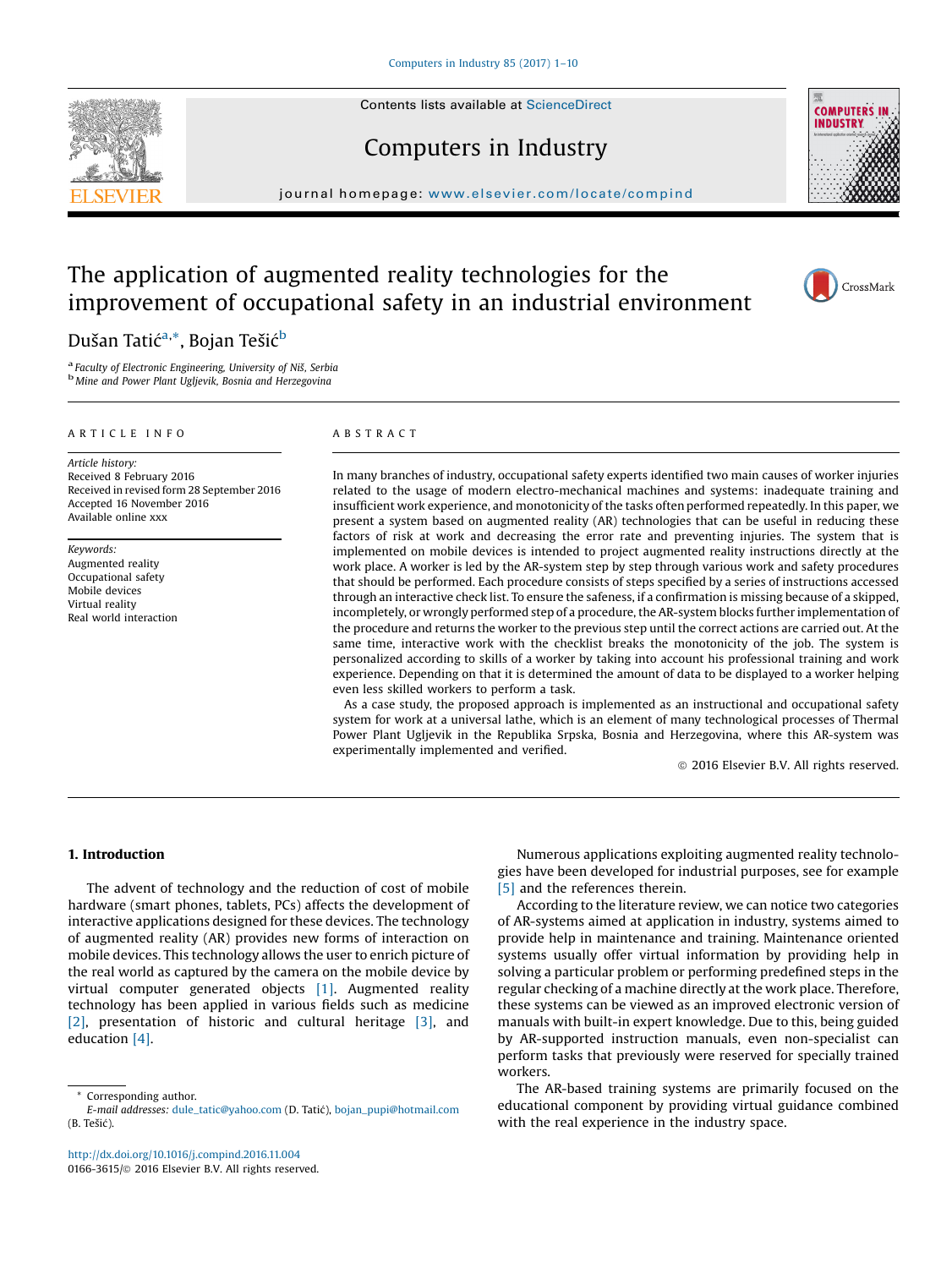Contents lists available at [ScienceDirect](http://www.sciencedirect.com/science/journal/01663615)

## Computers in Industry

journal homepage: <www.elsevier.com/locate/compind>

# The application of augmented reality technologies for the improvement of occupational safety in an industrial environment

### Dušan Tatić<sup>a,</sup>\*, Bojan Tešić<sup>b</sup>

<sup>a</sup> Faculty of Electronic Engineering, University of Niš, Serbia<br><sup>b</sup> Mine and Power Plant Uglievik, Bosnia and Herzegovina

#### A R T I C L E I N F O

Article history: Received 8 February 2016 Received in revised form 28 September 2016 Accepted 16 November 2016 Available online xxx

Keywords: Augmented reality Occupational safety Mobile devices Virtual reality Real world interaction

#### A B S T R A C T

In many branches of industry, occupational safety experts identified two main causes of worker injuries related to the usage of modern electro-mechanical machines and systems: inadequate training and insufficient work experience, and monotonicity of the tasks often performed repeatedly. In this paper, we present a system based on augmented reality (AR) technologies that can be useful in reducing these factors of risk at work and decreasing the error rate and preventing injuries. The system that is implemented on mobile devices is intended to project augmented reality instructions directly at the work place. A worker is led by the AR-system step by step through various work and safety procedures that should be performed. Each procedure consists of steps specified by a series of instructions accessed through an interactive check list. To ensure the safeness, if a confirmation is missing because of a skipped, incompletely, or wrongly performed step of a procedure, the AR-system blocks further implementation of the procedure and returns the worker to the previous step until the correct actions are carried out. At the same time, interactive work with the checklist breaks the monotonicity of the job. The system is personalized according to skills of a worker by taking into account his professional training and work experience. Depending on that it is determined the amount of data to be displayed to a worker helping even less skilled workers to perform a task.

As a case study, the proposed approach is implemented as an instructional and occupational safety system for work at a universal lathe, which is an element of many technological processes of Thermal Power Plant Ugljevik in the Republika Srpska, Bosnia and Herzegovina, where this AR-system was experimentally implemented and verified.

 $© 2016 Elsevier B.V. All rights reserved.$ 

#### 1. Introduction

The advent of technology and the reduction of cost of mobile hardware (smart phones, tablets, PCs) affects the development of interactive applications designed for these devices. The technology of augmented reality (AR) provides new forms of interaction on mobile devices. This technology allows the user to enrich picture of the real world as captured by the camera on the mobile device by virtual computer generated objects [1]. Augmented reality technology has been applied in various fields such as medicine [2], presentation of historic and cultural heritage [3], and education [4].

Corresponding author.

E-mail addresses: [dule\\_tatic@yahoo.com](mailto:dule_tatic@yahoo.com) (D. Tatic), [bojan\\_pupi@hotmail.com](mailto:bojan_pupi@hotmail.com) (B. Tešic).

<http://dx.doi.org/10.1016/j.compind.2016.11.004> 0166-3615/@ 2016 Elsevier B.V. All rights reserved.

Numerous applications exploiting augmented reality technologies have been developed for industrial purposes, see for example [5] and the references therein.

According to the literature review, we can notice two categories of AR-systems aimed at application in industry, systems aimed to provide help in maintenance and training. Maintenance oriented systems usually offer virtual information by providing help in solving a particular problem or performing predefined steps in the regular checking of a machine directly at the work place. Therefore, these systems can be viewed as an improved electronic version of manuals with built-in expert knowledge. Due to this, being guided by AR-supported instruction manuals, even non-specialist can perform tasks that previously were reserved for specially trained workers.

The AR-based training systems are primarily focused on the educational component by providing virtual guidance combined with the real experience in the industry space.





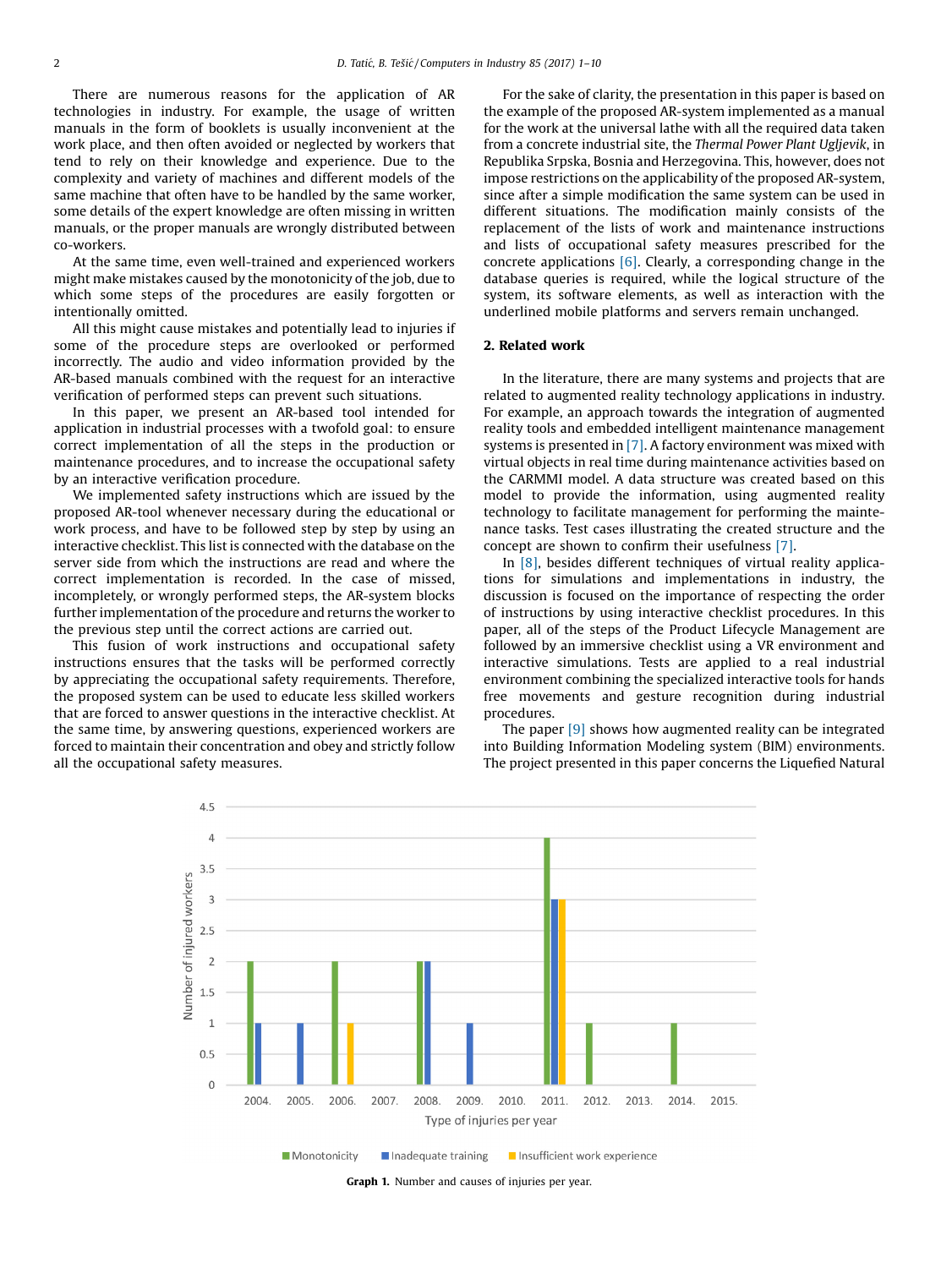There are numerous reasons for the application of AR technologies in industry. For example, the usage of written manuals in the form of booklets is usually inconvenient at the work place, and then often avoided or neglected by workers that tend to rely on their knowledge and experience. Due to the complexity and variety of machines and different models of the same machine that often have to be handled by the same worker, some details of the expert knowledge are often missing in written manuals, or the proper manuals are wrongly distributed between co-workers.

At the same time, even well-trained and experienced workers might make mistakes caused by the monotonicity of the job, due to which some steps of the procedures are easily forgotten or intentionally omitted.

All this might cause mistakes and potentially lead to injuries if some of the procedure steps are overlooked or performed incorrectly. The audio and video information provided by the AR-based manuals combined with the request for an interactive verification of performed steps can prevent such situations.

In this paper, we present an AR-based tool intended for application in industrial processes with a twofold goal: to ensure correct implementation of all the steps in the production or maintenance procedures, and to increase the occupational safety by an interactive verification procedure.

We implemented safety instructions which are issued by the proposed AR-tool whenever necessary during the educational or work process, and have to be followed step by step by using an interactive checklist. This list is connected with the database on the server side from which the instructions are read and where the correct implementation is recorded. In the case of missed, incompletely, or wrongly performed steps, the AR-system blocks further implementation of the procedure and returns the worker to the previous step until the correct actions are carried out.

This fusion of work instructions and occupational safety instructions ensures that the tasks will be performed correctly by appreciating the occupational safety requirements. Therefore, the proposed system can be used to educate less skilled workers that are forced to answer questions in the interactive checklist. At the same time, by answering questions, experienced workers are forced to maintain their concentration and obey and strictly follow all the occupational safety measures.

For the sake of clarity, the presentation in this paper is based on the example of the proposed AR-system implemented as a manual for the work at the universal lathe with all the required data taken from a concrete industrial site, the Thermal Power Plant Ugljevik, in Republika Srpska, Bosnia and Herzegovina. This, however, does not impose restrictions on the applicability of the proposed AR-system, since after a simple modification the same system can be used in different situations. The modification mainly consists of the replacement of the lists of work and maintenance instructions and lists of occupational safety measures prescribed for the concrete applications  $[6]$ . Clearly, a corresponding change in the database queries is required, while the logical structure of the system, its software elements, as well as interaction with the underlined mobile platforms and servers remain unchanged.

#### 2. Related work

In the literature, there are many systems and projects that are related to augmented reality technology applications in industry. For example, an approach towards the integration of augmented reality tools and embedded intelligent maintenance management systems is presented in [7]. A factory environment was mixed with virtual objects in real time during maintenance activities based on the CARMMI model. A data structure was created based on this model to provide the information, using augmented reality technology to facilitate management for performing the maintenance tasks. Test cases illustrating the created structure and the concept are shown to confirm their usefulness [7].

In [8], besides different techniques of virtual reality applications for simulations and implementations in industry, the discussion is focused on the importance of respecting the order of instructions by using interactive checklist procedures. In this paper, all of the steps of the Product Lifecycle Management are followed by an immersive checklist using a VR environment and interactive simulations. Tests are applied to a real industrial environment combining the specialized interactive tools for hands free movements and gesture recognition during industrial procedures.

The paper [9] shows how augmented reality can be integrated into Building Information Modeling system (BIM) environments. The project presented in this paper concerns the Liquefied Natural



Graph 1. Number and causes of injuries per year.